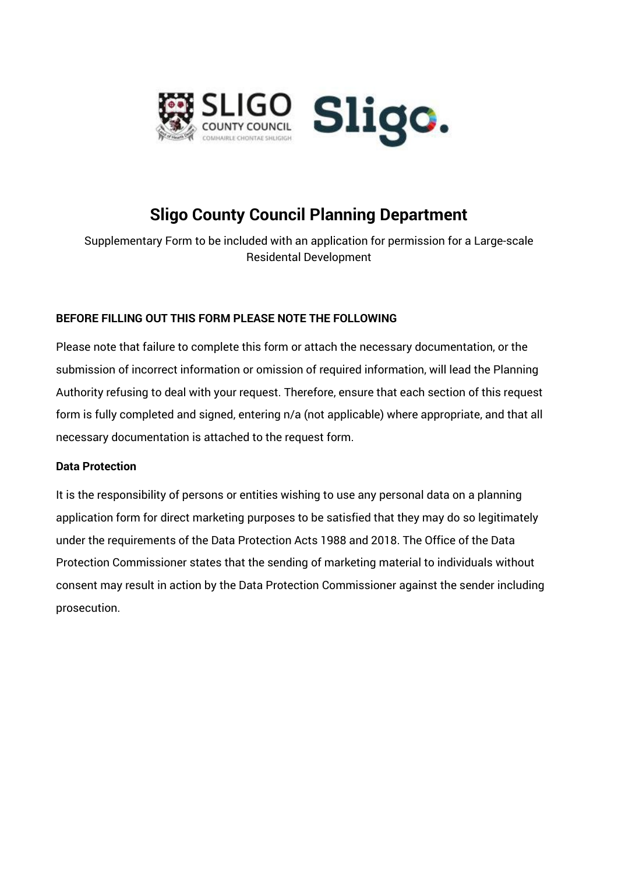

# **Sligo County Council Planning Department**

Supplementary Form to be included with an application for permission for a Large-scale Residental Development

### **BEFORE FILLING OUT THIS FORM PLEASE NOTE THE FOLLOWING**

Please note that failure to complete this form or attach the necessary documentation, or the submission of incorrect information or omission of required information, will lead the Planning Authority refusing to deal with your request. Therefore, ensure that each section of this request form is fully completed and signed, entering n/a (not applicable) where appropriate, and that all necessary documentation is attached to the request form.

### **Data Protection**

It is the responsibility of persons or entities wishing to use any personal data on a planning application form for direct marketing purposes to be satisfied that they may do so legitimately under the requirements of the Data Protection Acts 1988 and 2018. The Office of the Data Protection Commissioner states that the sending of marketing material to individuals without consent may result in action by the Data Protection Commissioner against the sender including prosecution.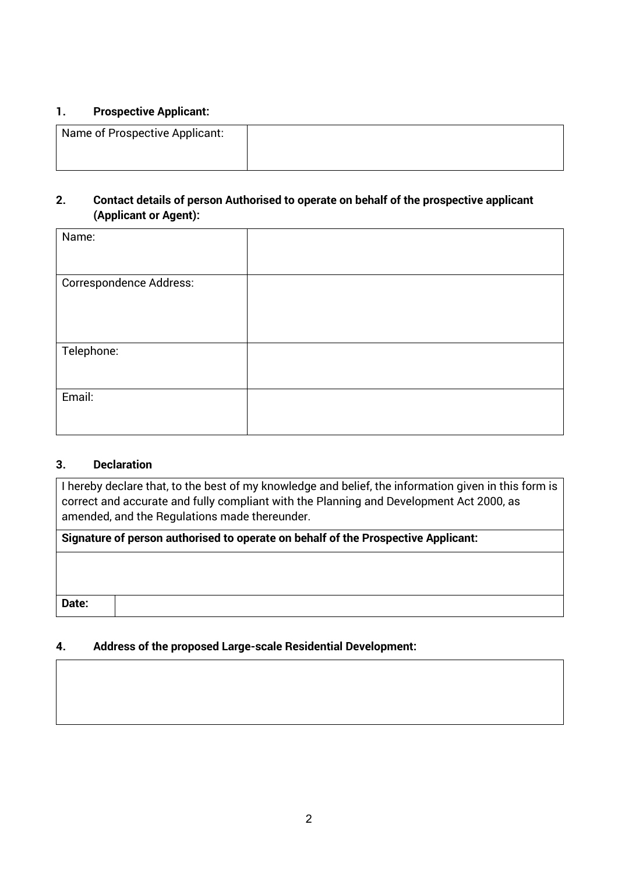#### **1. Prospective Applicant:**

| Name of Prospective Applicant: |  |
|--------------------------------|--|
|                                |  |

### **2. Contact details of person Authorised to operate on behalf of the prospective applicant (Applicant or Agent):**

| Name:                          |  |
|--------------------------------|--|
| <b>Correspondence Address:</b> |  |
| Telephone:                     |  |
| Email:                         |  |

### **3. Declaration**

I hereby declare that, to the best of my knowledge and belief, the information given in this form is correct and accurate and fully compliant with the Planning and Development Act 2000, as amended, and the Regulations made thereunder.

**Signature of person authorised to operate on behalf of the Prospective Applicant:**

**Date:** 

## **4. Address of the proposed Large-scale Residential Development:**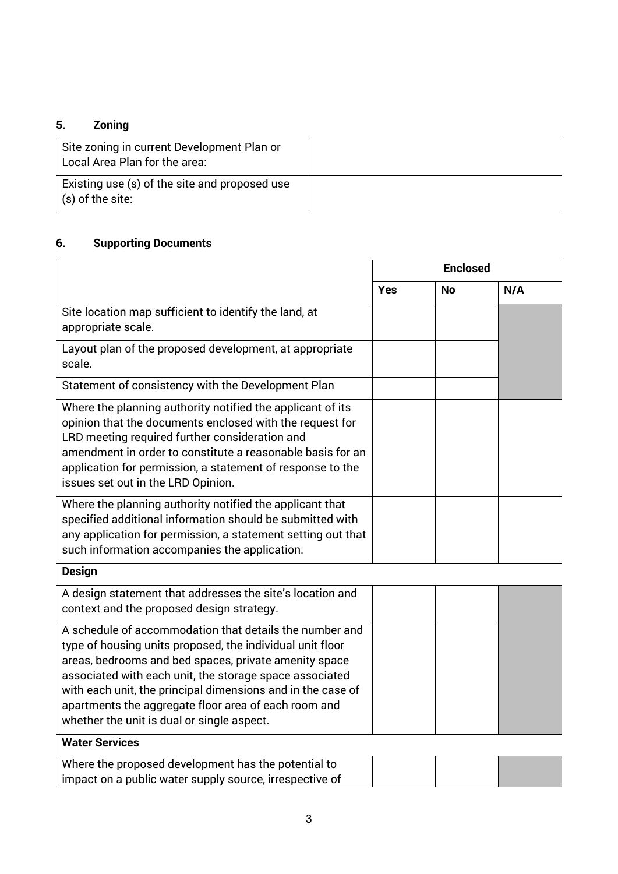# **5. Zoning**

| Site zoning in current Development Plan or<br>Local Area Plan for the area: |  |
|-----------------------------------------------------------------------------|--|
| Existing use (s) of the site and proposed use<br>$\vert$ (s) of the site:   |  |

# **6. Supporting Documents**

|                                                                                                                                                                                                                                                                                                                                                                                                               | <b>Enclosed</b> |           |     |
|---------------------------------------------------------------------------------------------------------------------------------------------------------------------------------------------------------------------------------------------------------------------------------------------------------------------------------------------------------------------------------------------------------------|-----------------|-----------|-----|
|                                                                                                                                                                                                                                                                                                                                                                                                               | <b>Yes</b>      | <b>No</b> | N/A |
| Site location map sufficient to identify the land, at<br>appropriate scale.                                                                                                                                                                                                                                                                                                                                   |                 |           |     |
| Layout plan of the proposed development, at appropriate<br>scale.                                                                                                                                                                                                                                                                                                                                             |                 |           |     |
| Statement of consistency with the Development Plan                                                                                                                                                                                                                                                                                                                                                            |                 |           |     |
| Where the planning authority notified the applicant of its<br>opinion that the documents enclosed with the request for<br>LRD meeting required further consideration and<br>amendment in order to constitute a reasonable basis for an<br>application for permission, a statement of response to the<br>issues set out in the LRD Opinion.                                                                    |                 |           |     |
| Where the planning authority notified the applicant that<br>specified additional information should be submitted with<br>any application for permission, a statement setting out that<br>such information accompanies the application.                                                                                                                                                                        |                 |           |     |
| <b>Design</b>                                                                                                                                                                                                                                                                                                                                                                                                 |                 |           |     |
| A design statement that addresses the site's location and<br>context and the proposed design strategy.                                                                                                                                                                                                                                                                                                        |                 |           |     |
| A schedule of accommodation that details the number and<br>type of housing units proposed, the individual unit floor<br>areas, bedrooms and bed spaces, private amenity space<br>associated with each unit, the storage space associated<br>with each unit, the principal dimensions and in the case of<br>apartments the aggregate floor area of each room and<br>whether the unit is dual or single aspect. |                 |           |     |
| <b>Water Services</b>                                                                                                                                                                                                                                                                                                                                                                                         |                 |           |     |
| Where the proposed development has the potential to<br>impact on a public water supply source, irrespective of                                                                                                                                                                                                                                                                                                |                 |           |     |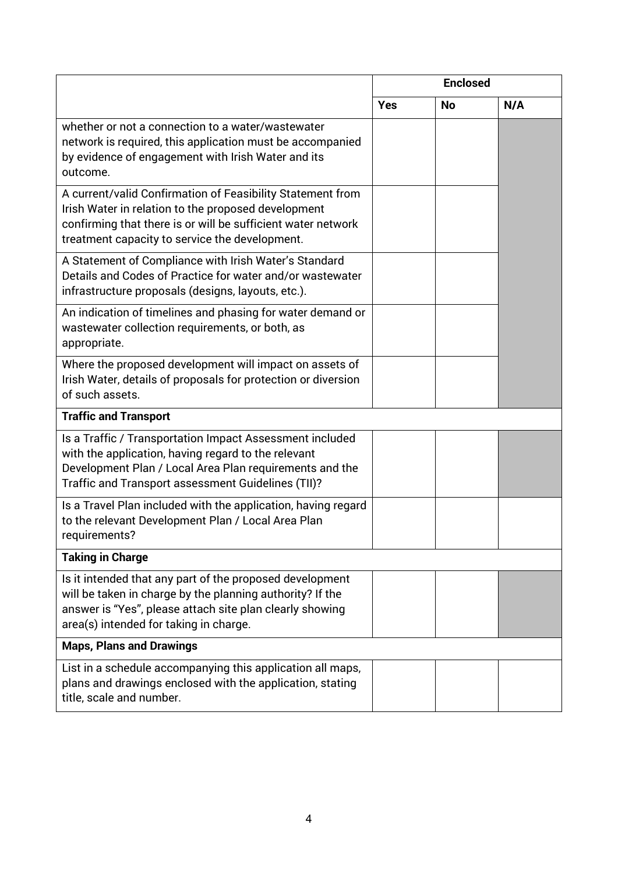|                                                                                                                                                                                                                                     | <b>Enclosed</b> |           |     |
|-------------------------------------------------------------------------------------------------------------------------------------------------------------------------------------------------------------------------------------|-----------------|-----------|-----|
|                                                                                                                                                                                                                                     | <b>Yes</b>      | <b>No</b> | N/A |
| whether or not a connection to a water/wastewater<br>network is required, this application must be accompanied<br>by evidence of engagement with Irish Water and its<br>outcome.                                                    |                 |           |     |
| A current/valid Confirmation of Feasibility Statement from<br>Irish Water in relation to the proposed development<br>confirming that there is or will be sufficient water network<br>treatment capacity to service the development. |                 |           |     |
| A Statement of Compliance with Irish Water's Standard<br>Details and Codes of Practice for water and/or wastewater<br>infrastructure proposals (designs, layouts, etc.).                                                            |                 |           |     |
| An indication of timelines and phasing for water demand or<br>wastewater collection requirements, or both, as<br>appropriate.                                                                                                       |                 |           |     |
| Where the proposed development will impact on assets of<br>Irish Water, details of proposals for protection or diversion<br>of such assets.                                                                                         |                 |           |     |
| <b>Traffic and Transport</b>                                                                                                                                                                                                        |                 |           |     |
| Is a Traffic / Transportation Impact Assessment included<br>with the application, having regard to the relevant<br>Development Plan / Local Area Plan requirements and the<br>Traffic and Transport assessment Guidelines (TII)?    |                 |           |     |
| Is a Travel Plan included with the application, having regard<br>to the relevant Development Plan / Local Area Plan<br>requirements?                                                                                                |                 |           |     |
| <b>Taking in Charge</b>                                                                                                                                                                                                             |                 |           |     |
| Is it intended that any part of the proposed development<br>will be taken in charge by the planning authority? If the<br>answer is "Yes", please attach site plan clearly showing<br>area(s) intended for taking in charge.         |                 |           |     |
| <b>Maps, Plans and Drawings</b>                                                                                                                                                                                                     |                 |           |     |
| List in a schedule accompanying this application all maps,<br>plans and drawings enclosed with the application, stating<br>title, scale and number.                                                                                 |                 |           |     |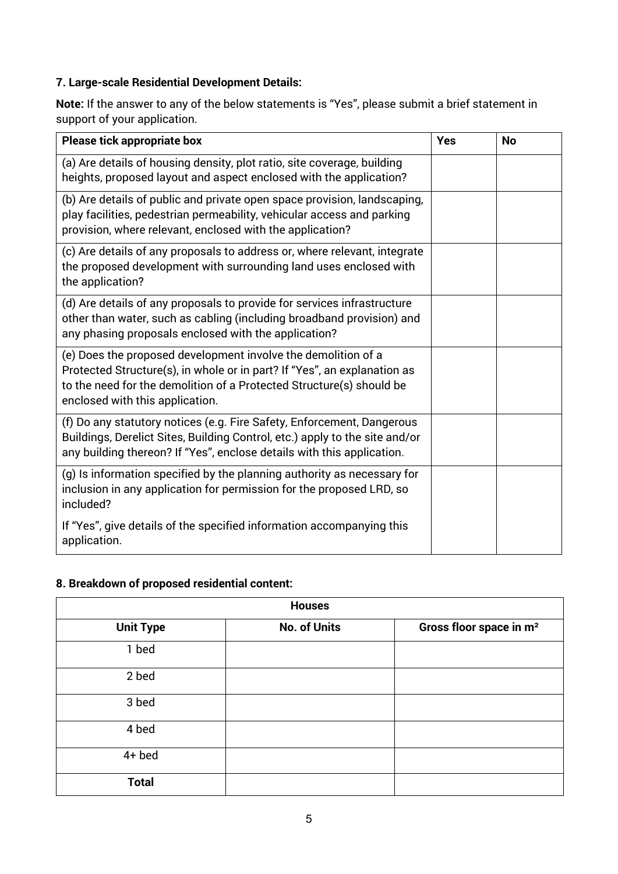# **7. Large-scale Residential Development Details:**

**Note:** If the answer to any of the below statements is "Yes", please submit a brief statement in support of your application.

| Please tick appropriate box                                                                                                                                                                                                                          | <b>Yes</b> | <b>No</b> |
|------------------------------------------------------------------------------------------------------------------------------------------------------------------------------------------------------------------------------------------------------|------------|-----------|
| (a) Are details of housing density, plot ratio, site coverage, building<br>heights, proposed layout and aspect enclosed with the application?                                                                                                        |            |           |
| (b) Are details of public and private open space provision, landscaping,<br>play facilities, pedestrian permeability, vehicular access and parking<br>provision, where relevant, enclosed with the application?                                      |            |           |
| (c) Are details of any proposals to address or, where relevant, integrate<br>the proposed development with surrounding land uses enclosed with<br>the application?                                                                                   |            |           |
| (d) Are details of any proposals to provide for services infrastructure<br>other than water, such as cabling (including broadband provision) and<br>any phasing proposals enclosed with the application?                                             |            |           |
| (e) Does the proposed development involve the demolition of a<br>Protected Structure(s), in whole or in part? If "Yes", an explanation as<br>to the need for the demolition of a Protected Structure(s) should be<br>enclosed with this application. |            |           |
| (f) Do any statutory notices (e.g. Fire Safety, Enforcement, Dangerous<br>Buildings, Derelict Sites, Building Control, etc.) apply to the site and/or<br>any building thereon? If "Yes", enclose details with this application.                      |            |           |
| (g) Is information specified by the planning authority as necessary for<br>inclusion in any application for permission for the proposed LRD, so<br>included?                                                                                         |            |           |
| If "Yes", give details of the specified information accompanying this<br>application.                                                                                                                                                                |            |           |

### **8. Breakdown of proposed residential content:**

| <b>Houses</b>    |                     |                                     |  |
|------------------|---------------------|-------------------------------------|--|
| <b>Unit Type</b> | <b>No. of Units</b> | Gross floor space in m <sup>2</sup> |  |
| 1 bed            |                     |                                     |  |
| 2 bed            |                     |                                     |  |
| 3 bed            |                     |                                     |  |
| 4 bed            |                     |                                     |  |
| $4+$ bed         |                     |                                     |  |
| <b>Total</b>     |                     |                                     |  |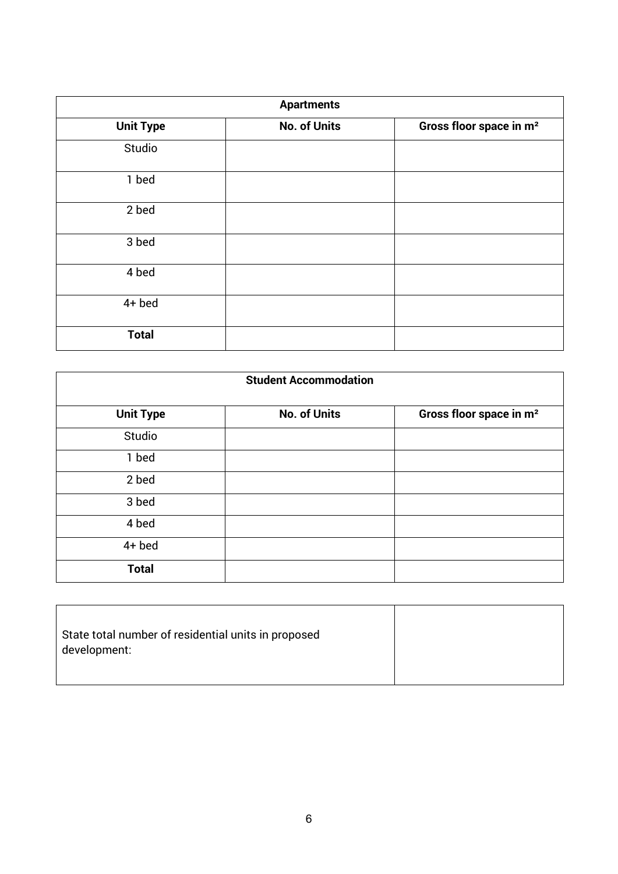| <b>Apartments</b> |                     |                                     |  |
|-------------------|---------------------|-------------------------------------|--|
| <b>Unit Type</b>  | <b>No. of Units</b> | Gross floor space in m <sup>2</sup> |  |
| Studio            |                     |                                     |  |
| 1 bed             |                     |                                     |  |
| 2 bed             |                     |                                     |  |
| 3 bed             |                     |                                     |  |
| 4 bed             |                     |                                     |  |
| $4+$ bed          |                     |                                     |  |
| <b>Total</b>      |                     |                                     |  |

| <b>Student Accommodation</b> |                     |                                     |  |
|------------------------------|---------------------|-------------------------------------|--|
| <b>Unit Type</b>             | <b>No. of Units</b> | Gross floor space in m <sup>2</sup> |  |
| Studio                       |                     |                                     |  |
| 1 bed                        |                     |                                     |  |
| 2 bed                        |                     |                                     |  |
| 3 bed                        |                     |                                     |  |
| 4 bed                        |                     |                                     |  |
| $4+$ bed                     |                     |                                     |  |
| <b>Total</b>                 |                     |                                     |  |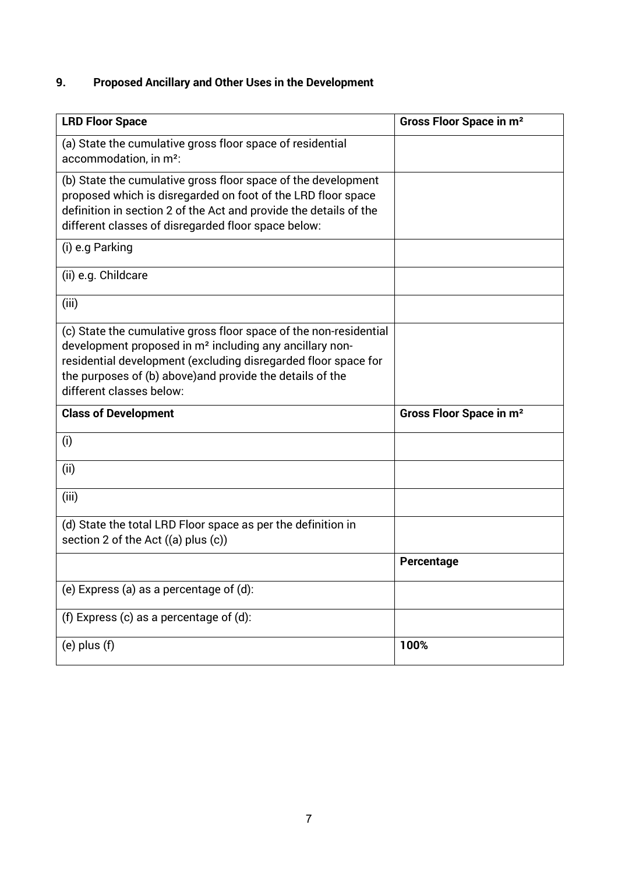# **9. Proposed Ancillary and Other Uses in the Development**

| <b>LRD Floor Space</b>                                                                                                                                                                                                                                                                              | Gross Floor Space in m <sup>2</sup> |
|-----------------------------------------------------------------------------------------------------------------------------------------------------------------------------------------------------------------------------------------------------------------------------------------------------|-------------------------------------|
| (a) State the cumulative gross floor space of residential<br>accommodation, in m <sup>2</sup> :                                                                                                                                                                                                     |                                     |
| (b) State the cumulative gross floor space of the development<br>proposed which is disregarded on foot of the LRD floor space<br>definition in section 2 of the Act and provide the details of the<br>different classes of disregarded floor space below:                                           |                                     |
| (i) e.g Parking                                                                                                                                                                                                                                                                                     |                                     |
| (ii) e.g. Childcare                                                                                                                                                                                                                                                                                 |                                     |
| (iii)                                                                                                                                                                                                                                                                                               |                                     |
| (c) State the cumulative gross floor space of the non-residential<br>development proposed in m <sup>2</sup> including any ancillary non-<br>residential development (excluding disregarded floor space for<br>the purposes of (b) above) and provide the details of the<br>different classes below: |                                     |
| <b>Class of Development</b>                                                                                                                                                                                                                                                                         | Gross Floor Space in m <sup>2</sup> |
| (i)                                                                                                                                                                                                                                                                                                 |                                     |
| (ii)                                                                                                                                                                                                                                                                                                |                                     |
| (iii)                                                                                                                                                                                                                                                                                               |                                     |
| (d) State the total LRD Floor space as per the definition in<br>section 2 of the Act $((a)$ plus $(c))$                                                                                                                                                                                             |                                     |
|                                                                                                                                                                                                                                                                                                     | Percentage                          |
| (e) Express (a) as a percentage of (d):                                                                                                                                                                                                                                                             |                                     |
| (f) Express (c) as a percentage of $(d)$ :                                                                                                                                                                                                                                                          |                                     |
| $(e)$ plus $(f)$                                                                                                                                                                                                                                                                                    | 100%                                |